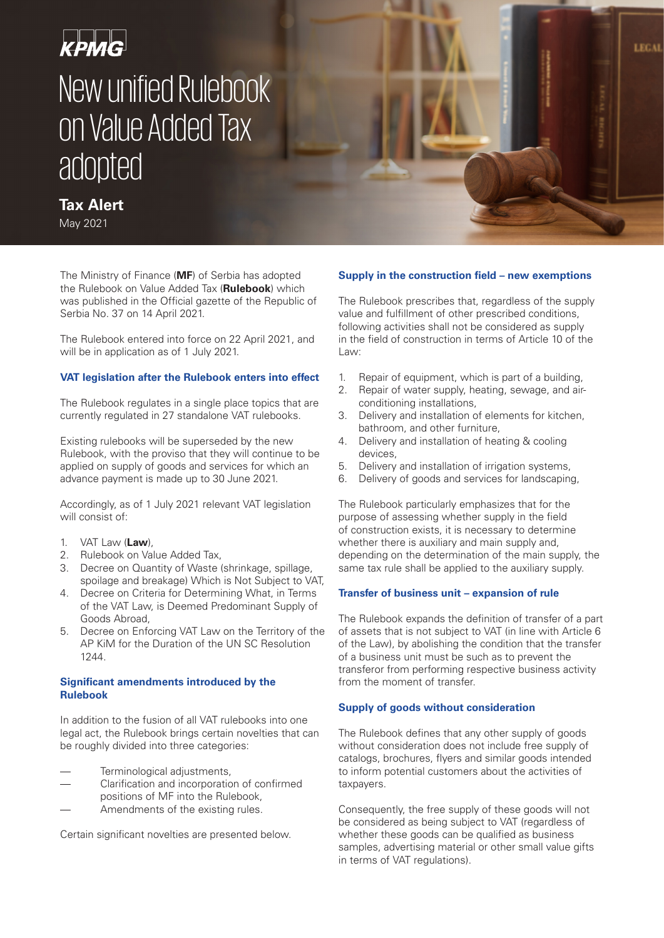# крмG New unified Rulebook on Value Added Tax adopted

# **Tax Alert**

May 2021

The Ministry of Finance (**MF**) of Serbia has adopted the Rulebook on Value Added Tax (**Rulebook**) which was published in the Official gazette of the Republic of Serbia No. 37 on 14 April 2021.

The Rulebook entered into force on 22 April 2021, and will be in application as of 1 July 2021.

# **VAT legislation after the Rulebook enters into effect**

The Rulebook regulates in a single place topics that are currently regulated in 27 standalone VAT rulebooks.

Existing rulebooks will be superseded by the new Rulebook, with the proviso that they will continue to be applied on supply of goods and services for which an advance payment is made up to 30 June 2021.

Accordingly, as of 1 July 2021 relevant VAT legislation will consist of:

- 1. VAT Law (**Law**),
- 2. Rulebook on Value Added Tax,
- 3. Decree on Quantity of Waste (shrinkage, spillage, spoilage and breakage) Which is Not Subject to VAT,
- 4. Decree on Criteria for Determining What, in Terms of the VAT Law, is Deemed Predominant Supply of Goods Abroad,
- 5. Decree on Enforcing VAT Law on the Territory of the AP KiM for the Duration of the UN SC Resolution 1244.

# **Significant amendments introduced by the Rulebook**

In addition to the fusion of all VAT rulebooks into one legal act, the Rulebook brings certain novelties that can be roughly divided into three categories:

- Terminological adjustments,
- Clarification and incorporation of confirmed positions of MF into the Rulebook,
- Amendments of the existing rules.

Certain significant novelties are presented below.

# **Supply in the construction field – new exemptions**

**LEGAL** 

The Rulebook prescribes that, regardless of the supply value and fulfillment of other prescribed conditions, following activities shall not be considered as supply in the field of construction in terms of Article 10 of the Law:

- 1. Repair of equipment, which is part of a building,
- 2. Repair of water supply, heating, sewage, and airconditioning installations,
- 3. Delivery and installation of elements for kitchen, bathroom, and other furniture,
- 4. Delivery and installation of heating & cooling devices,
- 5. Delivery and installation of irrigation systems,
- 6. Delivery of goods and services for landscaping,

The Rulebook particularly emphasizes that for the purpose of assessing whether supply in the field of construction exists, it is necessary to determine whether there is auxiliary and main supply and, depending on the determination of the main supply, the same tax rule shall be applied to the auxiliary supply.

# **Transfer of business unit – expansion of rule**

The Rulebook expands the definition of transfer of a part of assets that is not subject to VAT (in line with Article 6 of the Law), by abolishing the condition that the transfer of a business unit must be such as to prevent the transferor from performing respective business activity from the moment of transfer.

# **Supply of goods without consideration**

The Rulebook defines that any other supply of goods without consideration does not include free supply of catalogs, brochures, flyers and similar goods intended to inform potential customers about the activities of taxpayers.

Consequently, the free supply of these goods will not be considered as being subject to VAT (regardless of whether these goods can be qualified as business samples, advertising material or other small value gifts in terms of VAT regulations).